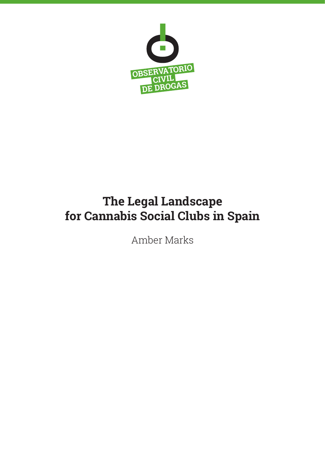

# **The Legal Landscape for Cannabis Social Clubs in Spain**

Amber Marks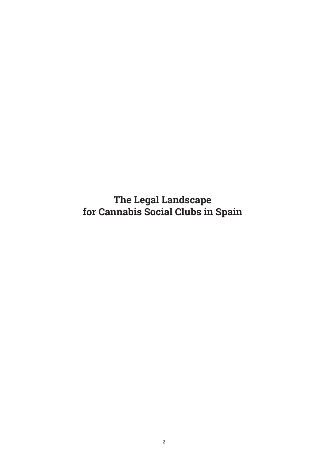**The Legal Landscape for Cannabis Social Clubs in Spain**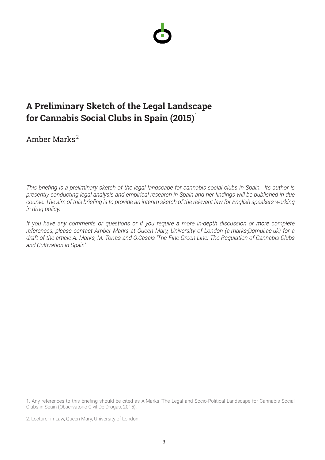

# **A Preliminary Sketch of the Legal Landscape for Cannabis Social Clubs in Spain (2015)** 1

Amber Marks 2

*This briefing is a preliminary sketch of the legal landscape for cannabis social clubs in Spain. Its author is presently conducting legal analysis and empirical research in Spain and her findings will be published in due course. The aim of this briefing is to provide an interim sketch of the relevant law for English speakers working in drug policy.*

*If you have any comments or questions or if you require a more in-depth discussion or more complete references, please contact Amber Marks at Queen Mary, University of London (a.marks@qmul.ac.uk) for a draft of the article A. Marks, M. Torres and O.Casals 'The Fine Green Line: The Regulation of Cannabis Clubs and Cultivation in Spain'.*

<sup>1.</sup> Any references to this briefing should be cited as A.Marks 'The Legal and Socio-Political Landscape for Cannabis Social Clubs in Spain (Observatorio Civil De Drogas, 2015).

<sup>2.</sup> Lecturer in Law, Queen Mary, University of London.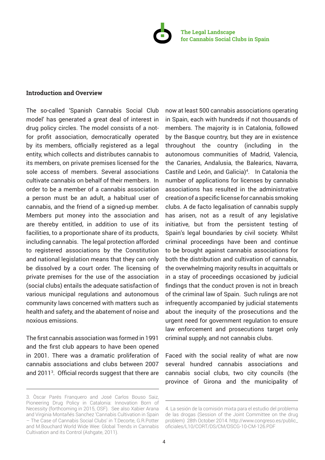

## **Introduction and Overview**

The so-called 'Spanish Cannabis Social Club model' has generated a great deal of interest in drug policy circles. The model consists of a notfor profit association, democratically operated by its members, officially registered as a legal entity, which collects and distributes cannabis to its members, on private premises licensed for the sole access of members. Several associations cultivate cannabis on behalf of their members. In order to be a member of a cannabis association a person must be an adult, a habitual user of cannabis, and the friend of a signed-up member. Members put money into the association and are thereby entitled, in addition to use of its facilities, to a proportionate share of its products, including cannabis. The legal protection afforded to registered associations by the Constitution and national legislation means that they can only be dissolved by a court order. The licensing of private premises for the use of the association (social clubs) entails the adequate satisfaction of various municipal regulations and autonomous community laws concerned with matters such as health and safety, and the abatement of noise and noxious emissions.

The first cannabis association was formed in 1991 and the first club appears to have been opened in 2001. There was a dramatic proliferation of cannabis associations and clubs between 2007 and 2011<sup>3</sup> . Official records suggest that there are

now at least 500 cannabis associations operating in Spain, each with hundreds if not thousands of members. The majority is in Catalonia, followed by the Basque country, but they are in existence throughout the country (including in the autonomous communities of Madrid, Valencia, the Canaries, Andalusia, the Balearics, Navarra, Castile and León, and Galicia)<sup>4</sup>. In Catalonia the number of applications for licenses by cannabis associations has resulted in the administrative creation of a specific license for cannabis smoking clubs. A de facto legalisation of cannabis supply has arisen, not as a result of any legislative initiative, but from the persistent testing of Spain's legal boundaries by civil society. Whilst criminal proceedings have been and continue to be brought against cannabis associations for both the distribution and cultivation of cannabis, the overwhelming majority results in acquittals or in a stay of proceedings occasioned by judicial findings that the conduct proven is not in breach of the criminal law of Spain. Such rulings are not infrequently accompanied by judicial statements about the inequity of the prosecutions and the urgent need for government regulation to ensure law enforcement and prosecutions target only criminal supply, and not cannabis clubs.

Faced with the social reality of what are now several hundred cannabis associations and cannabis social clubs, two city councils (the province of Girona and the municipality of

<sup>3.</sup> Òscar Parés Franquero and José Carlos Bouso Saiz, Pioneering Drug Policy in Catalonia: Innovation Born of Necessity (forthcoming in 2015, OSF). See also Xabier Arana and Virginia Montañés Sanchez 'Cannabis Cultivation in Spain – The Case of Cannabis Social Clubs' in T.Decorte, G.R.Potter and M.Bouchard World Wide Wee: Global Trends in Cannabis Cultivation and its Control (Ashgate, 2011).

<sup>4.</sup> La sesión de la comisión mixta para el estudio del problema de las drogas (Session of the Joint Committee on the drug problem) 28th October 2014. http://www.congreso.es/public\_ oficiales/L10/CORT/DS/CM/DSCG-10-CM-126.PDF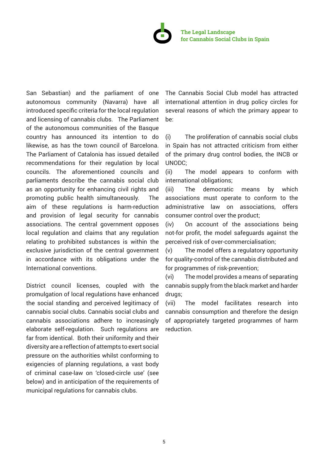

San Sebastian) and the parliament of one autonomous community (Navarra) have all introduced specific criteria for the local regulation and licensing of cannabis clubs. The Parliament of the autonomous communities of the Basque country has announced its intention to do likewise, as has the town council of Barcelona. The Parliament of Catalonia has issued detailed recommendations for their regulation by local councils. The aforementioned councils and parliaments describe the cannabis social club as an opportunity for enhancing civil rights and promoting public health simultaneously. The aim of these regulations is harm-reduction and provision of legal security for cannabis associations. The central government opposes local regulation and claims that any regulation relating to prohibited substances is within the exclusive jurisdiction of the central government in accordance with its obligations under the International conventions.

District council licenses, coupled with the promulgation of local regulations have enhanced the social standing and perceived legitimacy of cannabis social clubs. Cannabis social clubs and cannabis associations adhere to increasingly elaborate self-regulation. Such regulations are far from identical. Both their uniformity and their diversity are a reflection of attempts to exert social pressure on the authorities whilst conforming to exigencies of planning regulations, a vast body of criminal case-law on 'closed-circle use' (see below) and in anticipation of the requirements of municipal regulations for cannabis clubs.

The Cannabis Social Club model has attracted international attention in drug policy circles for several reasons of which the primary appear to be:

(i) The proliferation of cannabis social clubs in Spain has not attracted criticism from either of the primary drug control bodies, the INCB or UNODC;

(ii) The model appears to conform with international obligations;

(iii) The democratic means by which associations must operate to conform to the administrative law on associations, offers consumer control over the product;

(iv) On account of the associations being not-for profit, the model safeguards against the perceived risk of over-commercialisation;

(v) The model offers a regulatory opportunity for quality-control of the cannabis distributed and for programmes of risk-prevention;

(vi) The model provides a means of separating cannabis supply from the black market and harder drugs;

(vii) The model facilitates research into cannabis consumption and therefore the design of appropriately targeted programmes of harm reduction.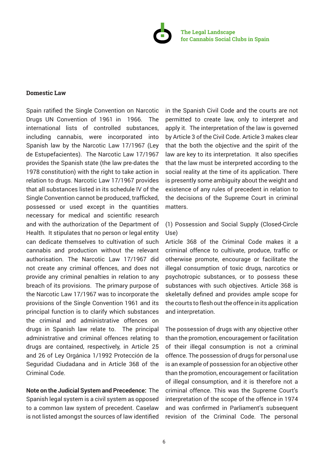

## **Domestic Law**

Spain ratified the Single Convention on Narcotic Drugs UN Convention of 1961 in 1966. The international lists of controlled substances, including cannabis, were incorporated into Spanish law by the Narcotic Law 17/1967 (Ley de Estupefacientes). The Narcotic Law 17/1967 provides the Spanish state (the law pre-dates the 1978 constitution) with the right to take action in relation to drugs. Narcotic Law 17/1967 provides that all substances listed in its schedule IV of the Single Convention cannot be produced, trafficked, possessed or used except in the quantities necessary for medical and scientific research and with the authorization of the Department of Health. It stipulates that no person or legal entity can dedicate themselves to cultivation of such cannabis and production without the relevant authorisation. The Narcotic Law 17/1967 did not create any criminal offences, and does not provide any criminal penalties in relation to any breach of its provisions. The primary purpose of the Narcotic Law 17/1967 was to incorporate the provisions of the Single Convention 1961 and its principal function is to clarify which substances the criminal and administrative offences on drugs in Spanish law relate to. The principal administrative and criminal offences relating to drugs are contained, respectively, in Article 25 and 26 of Ley Orgánica 1/1992 Protección de la Seguridad Ciudadana and in Article 368 of the Criminal Code.

**Note on the Judicial System and Precedence:** The Spanish legal system is a civil system as opposed to a common law system of precedent. Caselaw is not listed amongst the sources of law identified

in the Spanish Civil Code and the courts are not permitted to create law, only to interpret and apply it. The interpretation of the law is governed by Article 3 of the Civil Code. Article 3 makes clear that the both the objective and the spirit of the law are key to its interpretation. It also specifies that the law must be interpreted according to the social reality at the time of its application. There is presently some ambiguity about the weight and existence of any rules of precedent in relation to the decisions of the Supreme Court in criminal matters.

# (1) Possession and Social Supply (Closed-Circle Use)

Article 368 of the Criminal Code makes it a criminal offence to cultivate, produce, traffic or otherwise promote, encourage or facilitate the illegal consumption of toxic drugs, narcotics or psychotropic substances, or to possess these substances with such objectives. Article 368 is skeletally defined and provides ample scope for the courts to flesh out the offence in its application and interpretation.

The possession of drugs with any objective other than the promotion, encouragement or facilitation of their illegal consumption is not a criminal offence. The possession of drugs for personal use is an example of possession for an objective other than the promotion, encouragement or facilitation of illegal consumption, and it is therefore not a criminal offence. This was the Supreme Court's interpretation of the scope of the offence in 1974 and was confirmed in Parliament's subsequent revision of the Criminal Code. The personal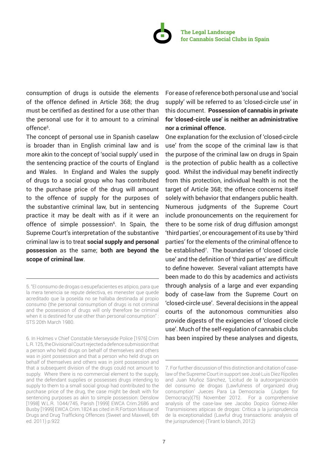

consumption of drugs is outside the elements of the offence defined in Article 368; the drug must be certified as destined for a use other than the personal use for it to amount to a criminal offence<sup>5</sup>.

The concept of personal use in Spanish caselaw is broader than in English criminal law and is more akin to the concept of 'social supply' used in the sentencing practice of the courts of England and Wales. In England and Wales the supply of drugs to a social group who has contributed to the purchase price of the drug will amount to the offence of supply for the purposes of the substantive criminal law, but in sentencing practice it may be dealt with as if it were an offence of simple possession<sup>6</sup>. In Spain, the Supreme Court's interpretation of the substantive criminal law is to treat **social supply and personal possession** as the same; **both are beyond the scope of criminal law**.

For ease of reference both personal use and 'social supply' will be referred to as 'closed-circle use' in this document. **Possession of cannabis in private for 'closed-circle use' is neither an administrative nor a criminal offence.**

One explanation for the exclusion of 'closed-circle use' from the scope of the criminal law is that the purpose of the criminal law on drugs in Spain is the protection of public health as a collective good. Whilst the individual may benefit indirectly from this protection, individual health is not the target of Article 368; the offence concerns itself solely with behavior that endangers public health. Numerous judgments of the Supreme Court include pronouncements on the requirement for there to be some risk of drug diffusion amongst 'third parties', or encouragement of its use by 'third parties' for the elements of the criminal offence to be established<sup>7</sup> . The boundaries of 'closed circle use' and the definition of 'third parties' are difficult to define however. Several valiant attempts have been made to do this by academics and activists through analysis of a large and ever expanding body of case-law from the Supreme Court on 'closed-circle use'. Several decisions in the appeal courts of the autonomous communities also provide digests of the exigencies of 'closed circle use'. Much of the self-regulation of cannabis clubs has been inspired by these analyses and digests,

<sup>5. &</sup>quot;El consumo de drogas o esupefacientes es atípico, para que la mera tenencia se repute delectiva, es menester que quede acreditado que la poseída no se hallaba destinada al propio consumo (the personal consumption of drugs is not criminal and the possession of drugs will only therefore be criminal when it is destined for use other than personal consumption" : STS 20th March 1980.

<sup>6.</sup> In Holmes v Chief Constable Merseyside Police [1976] Crim L.R. 125, the Divisional Court rejected a defence submission that a person who held drugs on behalf of themselves and others was in joint possession and that a person who held drugs on behalf of themselves and others was in joint possession and that a subsequent division of the drugs could not amount to supply. Where there is no commercial element to the supply, and the defendant supplies or possesses drugs intending to supply to them to a small social group had contributed to the purchase price of the drug, the case might be dealt with for sentencing purposes as akin to simple possession: Denslow [1998] W.L.R. 1044/745, Parish [1999] EWCA Crim.2686 and Busby [1999] EWCA Crim.1824 as cited in R.Fortson Misuse of Drugs and Drug Trafficking Offences (Sweet and Maxwell, 6th ed. 2011) p.922

<sup>7.</sup> For further discussion of this distinction and citation of caselaw of the Supreme Court in support see José Luis Diez Ripolles and Juan Muñoz Sánchez, 'Licitud de la autoorganización del consumo de drogas (Lawfulness of organized drug consumption' Jueces Para La Democracia (Judges for Democracy)(75) November 2012. For a comprehensive analysis of the case-law see Jacobo Dopico Gómez-Aller Transmisiones atípicas de drogas: Crítica a la jurisprudencia de la exceptionalidad (Lawful drug transactions: analysis of the jurisprudence) (Tirant lo blanch, 2012)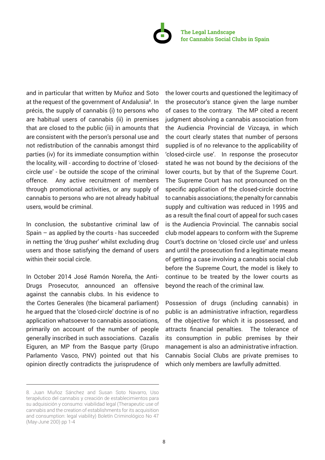

and in particular that written by Muñoz and Soto at the request of the government of Andalusia<sup>8</sup>. In précis, the supply of cannabis (i) to persons who are habitual users of cannabis (ii) in premises that are closed to the public (iii) in amounts that are consistent with the person's personal use and not redistribution of the cannabis amongst third parties (iv) for its immediate consumption within the locality, will - according to doctrine of 'closedcircle use' - be outside the scope of the criminal offence. Any active recruitment of members through promotional activities, or any supply of cannabis to persons who are not already habitual users, would be criminal.

In conclusion, the substantive criminal law of Spain – as applied by the courts - has succeeded in netting the 'drug pusher' whilst excluding drug users and those satisfying the demand of users within their social circle.

In October 2014 José Ramón Noreña, the Anti-Drugs Prosecutor, announced an offensive against the cannabis clubs. In his evidence to the Cortes Generales (the bicameral parliament) he argued that the 'closed-circle' doctrine is of no application whatsoever to cannabis associations, primarily on account of the number of people generally inscribed in such associations. Cazalis Eiguren, an MP from the Basque party (Grupo Parlamento Vasco, PNV) pointed out that his opinion directly contradicts the jurisprudence of the lower courts and questioned the legitimacy of the prosecutor's stance given the large number of cases to the contrary. The MP cited a recent judgment absolving a cannabis association from the Audiencia Provincial de Vizcaya, in which the court clearly states that number of persons supplied is of no relevance to the applicability of 'closed-circle use'. In response the prosecutor stated he was not bound by the decisions of the lower courts, but by that of the Supreme Court. The Supreme Court has not pronounced on the specific application of the closed-circle doctrine to cannabis associations; the penalty for cannabis supply and cultivation was reduced in 1995 and as a result the final court of appeal for such cases is the Audiencia Provincial. The cannabis social club model appears to conform with the Supreme Court's doctrine on 'closed circle use' and unless and until the prosecution find a legitimate means of getting a case involving a cannabis social club before the Supreme Court, the model is likely to continue to be treated by the lower courts as beyond the reach of the criminal law.

Possession of drugs (including cannabis) in public is an administrative infraction, regardless of the objective for which it is possessed, and attracts financial penalties. The tolerance of its consumption in public premises by their management is also an administrative infraction. Cannabis Social Clubs are private premises to which only members are lawfully admitted.

<sup>8.</sup> Juan Muñoz Sánchez and Susan Soto Navarro, Uso terapéutico del cannabis y creación de establecimientos para su adquisición y consumo: viabilidad legal (Therapeutic use of cannabis and the creation of establishments for its acquisition and consumption: legal viability) Boletín Criminológico No 47 (May-June 200) pp 1-4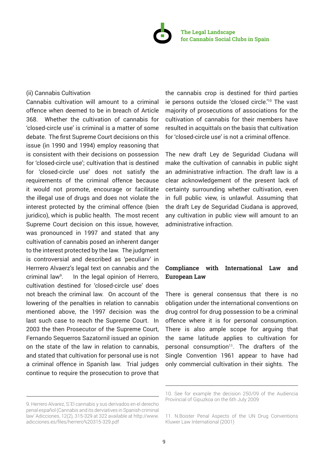

#### (ii) Cannabis Cultivation

Cannabis cultivation will amount to a criminal offence when deemed to be in breach of Article 368. Whether the cultivation of cannabis for 'closed-circle use' is criminal is a matter of some debate. The first Supreme Court decisions on this issue (in 1990 and 1994) employ reasoning that is consistent with their decisions on possession for 'closed-circle use'; cultivation that is destined for 'closed-circle use' does not satisfy the requirements of the criminal offence because it would not promote, encourage or facilitate the illegal use of drugs and does not violate the interest protected by the criminal offence (bien juridico), which is public health. The most recent Supreme Court decision on this issue, however, was pronounced in 1997 and stated that any cultivation of cannabis posed an inherent danger to the interest protected by the law. The judgment is controversial and described as 'peculiarv' in Herrrero Alvaerz's legal text on cannabis and the criminal law<sup>9</sup>. . In the legal opinion of Herrero, cultivation destined for 'closed-circle use' does not breach the criminal law. On account of the lowering of the penalties in relation to cannabis mentioned above, the 1997 decision was the last such case to reach the Supreme Court. In 2003 the then Prosecutor of the Supreme Court, Fernando Sequerros Sazatornil issued an opinion on the state of the law in relation to cannabis, and stated that cultivation for personal use is not a criminal offence in Spanish law. Trial judges continue to require the prosecution to prove that

the cannabis crop is destined for third parties ie persons outside the 'closed circle.'10 The vast majority of prosecutions of associations for the cultivation of cannabis for their members have resulted in acquittals on the basis that cultivation for 'closed-circle use' is not a criminal offence.

The new draft Ley de Seguridad Ciudana will make the cultivation of cannabis in public sight an administrative infraction. The draft law is a clear acknowledgement of the present lack of certainty surrounding whether cultivation, even in full public view, is unlawful. Assuming that the draft Ley de Seguridad Ciudana is approved, any cultivation in public view will amount to an administrative infraction.

# **Compliance with International Law and European Law**

There is general consensus that there is no obligation under the international conventions on drug control for drug possession to be a criminal offence where it is for personal consumption. There is also ample scope for arguing that the same latitude applies to cultivation for personal consumption<sup>11</sup>. The drafters of the Single Convention 1961 appear to have had only commercial cultivation in their sights. The

<sup>9.</sup> Herrero Alvarez, S.'El cannabis y sus derivados en el derecho penal español (Cannabis and its derviatives in Spanish criminal law' Adicciones, 12(2), 315-329 at 322 available at http://www. adicciones.es/files/herrero%20315-329.pdf

<sup>10.</sup> See for example the decision 250/09 of the Audiencia Provincial of Gipuzkoa on the 6th July 2009

<sup>11.</sup> N.Boister Penal Aspects of the UN Drug Conventions Kluwer Law International (2001)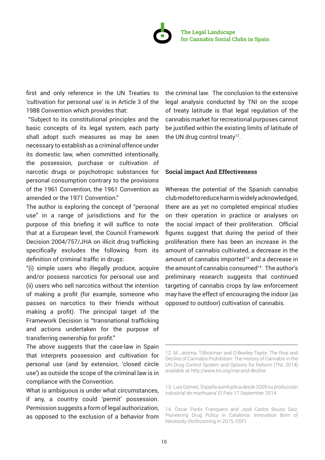

first and only reference in the UN Treaties to 'cultivation for personal use' is in Article 3 of the 1988 Convention which provides that:

 "Subject to its constitutional principles and the basic concepts of its legal system, each party shall adopt such measures as may be seen necessary to establish as a criminal offence under its domestic law, when committed intentionally, the possession, purchase or cultivation of narcotic drugs or psychotropic substances for personal consumption contrary to the provisions of the 1961 Convention, the 1961 Convention as amended or the 1971 Convention."

The author is exploring the concept of "personal use" in a range of jurisdictions and for the purpose of this briefing it will suffice to note that at a European level, the Council Framework Decision 2004/757/JHA on illicit drug trafficking specifically excludes the following from its definition of criminal traffic in drugs:

"(i) simple users who illegally produce, acquire and/or possess narcotics for personal use and (ii) users who sell narcotics without the intention of making a profit (for example, someone who passes on narcotics to their friends without making a profit). The principal target of the Framework Decision is "transnational trafficking and actions undertaken for the purpose of transferring ownership for profit."

The above suggests that the case-law in Spain that interprets possession and cultivation for personal use (and by extension, 'closed circle use') as outside the scope of the criminal law is in compliance with the Convention.

What is ambiguous is under what circumstances, if any, a country could 'permit' possession. Permission suggests a form of legal authorization, as opposed to the exclusion of a behavior from the criminal law. The conclusion to the extensive legal analysis conducted by TNI on the scope of treaty latitude is that legal regulation of the cannabis market for recreational purposes cannot be justified within the existing limits of latitude of the UN drug control treaty $12$ .

### **Social impact And Effectiveness**

Whereas the potential of the Spanish cannabis club model to reduce harm is widely acknowledged, there are as yet no completed empirical studies on their operation in practice or analyses on the social impact of their proliferation. Official figures suggest that during the period of their proliferation there has been an increase in the amount of cannabis cultivated, a decrease in the amount of cannabis imported<sup>13</sup> and a decrease in the amount of cannabis consumed $14$ . The author's preliminary research suggests that continued targeting of cannabis crops by law enforcement may have the effect of encouraging the indoor (as opposed to outdoor) cultivation of cannabis.

<sup>12.</sup> M. Jelsma, T.Blickman and D.Bewley-Taylor, The Rise and Decline of Cannabis Prohibition: The History of Cannabis in the UN Drug Control System and Options for Reform (TNI, 2014) available at http://www.tni.org/rise-and-decline

<sup>13.</sup> Luis Gómez, 'España quintuplica desde 2009 su producción industrial de marihuana' El País 17 September 2014

<sup>14.</sup> Òscar Parés Franquero and José Carlos Bouso Saiz, Pioneering Drug Policy in Catalonia: Innovation Born of Necessity (forthcoming in 2015, OSF)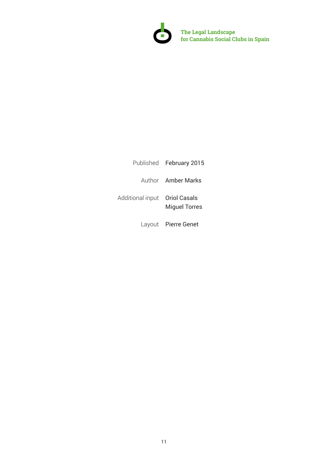

**! The Legal Landscape for Cannabis Social Clubs in Spain**

|                                | Published February 2015 |
|--------------------------------|-------------------------|
|                                | Author Amber Marks      |
| Additional input  Oriol Casals | <b>Miquel Torres</b>    |
|                                | Layout Pierre Genet     |